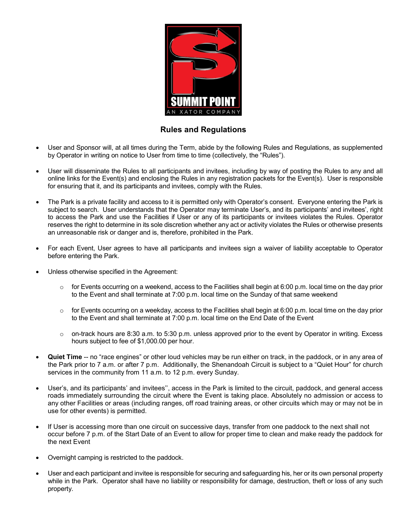

## **Rules and Regulations**

- User and Sponsor will, at all times during the Term, abide by the following Rules and Regulations, as supplemented by Operator in writing on notice to User from time to time (collectively, the "Rules").
- User will disseminate the Rules to all participants and invitees, including by way of posting the Rules to any and all online links for the Event(s) and enclosing the Rules in any registration packets for the Event(s). User is responsible for ensuring that it, and its participants and invitees, comply with the Rules.
- The Park is a private facility and access to it is permitted only with Operator's consent. Everyone entering the Park is subject to search. User understands that the Operator may terminate User's, and its participants' and invitees', right to access the Park and use the Facilities if User or any of its participants or invitees violates the Rules. Operator reserves the right to determine in its sole discretion whether any act or activity violates the Rules or otherwise presents an unreasonable risk or danger and is, therefore, prohibited in the Park.
- For each Event, User agrees to have all participants and invitees sign a waiver of liability acceptable to Operator before entering the Park.
- Unless otherwise specified in the Agreement:
	- $\circ$  for Events occurring on a weekend, access to the Facilities shall begin at 6:00 p.m. local time on the day prior to the Event and shall terminate at 7:00 p.m. local time on the Sunday of that same weekend
	- $\circ$  for Events occurring on a weekday, access to the Facilities shall begin at 6:00 p.m. local time on the day prior to the Event and shall terminate at 7:00 p.m. local time on the End Date of the Event
	- $\circ$  on-track hours are 8:30 a.m. to 5:30 p.m. unless approved prior to the event by Operator in writing. Excess hours subject to fee of \$1,000.00 per hour.
- **Quiet Time** -- no "race engines" or other loud vehicles may be run either on track, in the paddock, or in any area of the Park prior to 7 a.m. or after 7 p.m. Additionally, the Shenandoah Circuit is subject to a "Quiet Hour" for church services in the community from 11 a.m. to 12 p.m. every Sunday.
- User's, and its participants' and invitees'', access in the Park is limited to the circuit, paddock, and general access roads immediately surrounding the circuit where the Event is taking place. Absolutely no admission or access to any other Facilities or areas (including ranges, off road training areas, or other circuits which may or may not be in use for other events) is permitted.
- If User is accessing more than one circuit on successive days, transfer from one paddock to the next shall not occur before 7 p.m. of the Start Date of an Event to allow for proper time to clean and make ready the paddock for the next Event
- Overnight camping is restricted to the paddock.
- User and each participant and invitee is responsible for securing and safeguarding his, her or its own personal property while in the Park. Operator shall have no liability or responsibility for damage, destruction, theft or loss of any such property.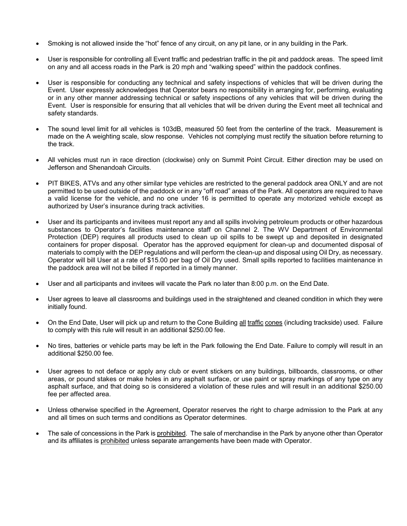- Smoking is not allowed inside the "hot" fence of any circuit, on any pit lane, or in any building in the Park.
- User is responsible for controlling all Event traffic and pedestrian traffic in the pit and paddock areas. The speed limit on any and all access roads in the Park is 20 mph and "walking speed" within the paddock confines.
- User is responsible for conducting any technical and safety inspections of vehicles that will be driven during the Event. User expressly acknowledges that Operator bears no responsibility in arranging for, performing, evaluating or in any other manner addressing technical or safety inspections of any vehicles that will be driven during the Event. User is responsible for ensuring that all vehicles that will be driven during the Event meet all technical and safety standards.
- The sound level limit for all vehicles is 103dB, measured 50 feet from the centerline of the track. Measurement is made on the A weighting scale, slow response. Vehicles not complying must rectify the situation before returning to the track.
- All vehicles must run in race direction (clockwise) only on Summit Point Circuit. Either direction may be used on Jefferson and Shenandoah Circuits.
- PIT BIKES, ATVs and any other similar type vehicles are restricted to the general paddock area ONLY and are not permitted to be used outside of the paddock or in any "off road" areas of the Park. All operators are required to have a valid license for the vehicle, and no one under 16 is permitted to operate any motorized vehicle except as authorized by User's insurance during track activities.
- User and its participants and invitees must report any and all spills involving petroleum products or other hazardous substances to Operator's facilities maintenance staff on Channel 2. The WV Department of Environmental Protection (DEP) requires all products used to clean up oil spills to be swept up and deposited in designated containers for proper disposal. Operator has the approved equipment for clean-up and documented disposal of materials to comply with the DEP regulations and will perform the clean-up and disposal using Oil Dry, as necessary. Operator will bill User at a rate of \$15.00 per bag of Oil Dry used. Small spills reported to facilities maintenance in the paddock area will not be billed if reported in a timely manner.
- User and all participants and invitees will vacate the Park no later than 8:00 p.m. on the End Date.
- User agrees to leave all classrooms and buildings used in the straightened and cleaned condition in which they were initially found.
- On the End Date, User will pick up and return to the Cone Building all traffic cones (including trackside) used. Failure to comply with this rule will result in an additional \$250.00 fee.
- No tires, batteries or vehicle parts may be left in the Park following the End Date. Failure to comply will result in an additional \$250.00 fee.
- User agrees to not deface or apply any club or event stickers on any buildings, billboards, classrooms, or other areas, or pound stakes or make holes in any asphalt surface, or use paint or spray markings of any type on any asphalt surface, and that doing so is considered a violation of these rules and will result in an additional \$250.00 fee per affected area.
- Unless otherwise specified in the Agreement, Operator reserves the right to charge admission to the Park at any and all times on such terms and conditions as Operator determines.
- The sale of concessions in the Park is prohibited. The sale of merchandise in the Park by anyone other than Operator and its affiliates is prohibited unless separate arrangements have been made with Operator.